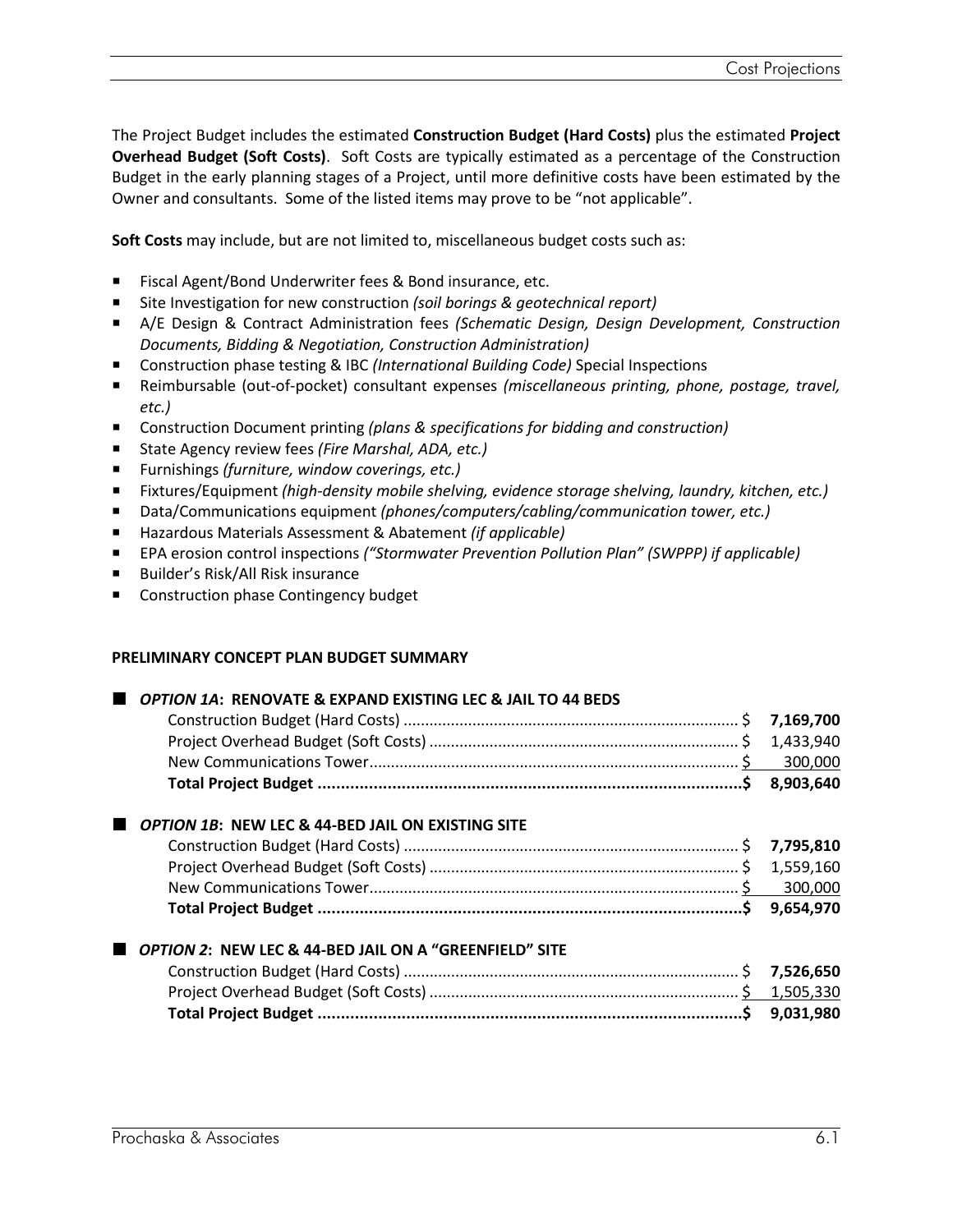The Project Budget includes the estimated **Construction Budget (Hard Costs)** plus the estimated **Project Overhead Budget (Soft Costs)**. Soft Costs are typically estimated as a percentage of the Construction Budget in the early planning stages of a Project, until more definitive costs have been estimated by the Owner and consultants. Some of the listed items may prove to be "not applicable".

**Soft Costs** may include, but are not limited to, miscellaneous budget costs such as:

- Fiscal Agent/Bond Underwriter fees & Bond insurance, etc.
- P Site Investigation for new construction *(soil borings & geotechnical report)*
- P A/E Design & Contract Administration fees *(Schematic Design, Design Development, Construction Documents, Bidding & Negotiation, Construction Administration)*
- Construction phase testing & IBC *(International Building Code)* Special Inspections
- P Reimbursable (out-of-pocket) consultant expenses *(miscellaneous printing, phone, postage, travel, etc.)*
- Construction Document printing *(plans & specifications for bidding and construction)*
- State Agency review fees (Fire Marshal, ADA, etc.)
- Furnishings (furniture, window coverings, etc.)
- P Fixtures/Equipment *(high-density mobile shelving, evidence storage shelving, laundry, kitchen, etc.)*
- Data/Communications equipment *(phones/computers/cabling/communication tower, etc.)*
- Hazardous Materials Assessment & Abatement *(if applicable)*
- EPA erosion control inspections *("Stormwater Prevention Pollution Plan" (SWPPP) if applicable)*
- Builder's Risk/All Risk insurance
- **Construction phase Contingency budget**

### **PRELIMINARY CONCEPT PLAN BUDGET SUMMARY**

### *OPTION 1A***: RENOVATE & EXPAND EXISTING LEC & JAIL TO 44 BEDS**

### *OPTION 1B***: NEW LEC & 44-BED JAIL ON EXISTING SITE**

# *OPTION 2***: NEW LEC & 44-BED JAIL ON A "GREENFIELD" SITE**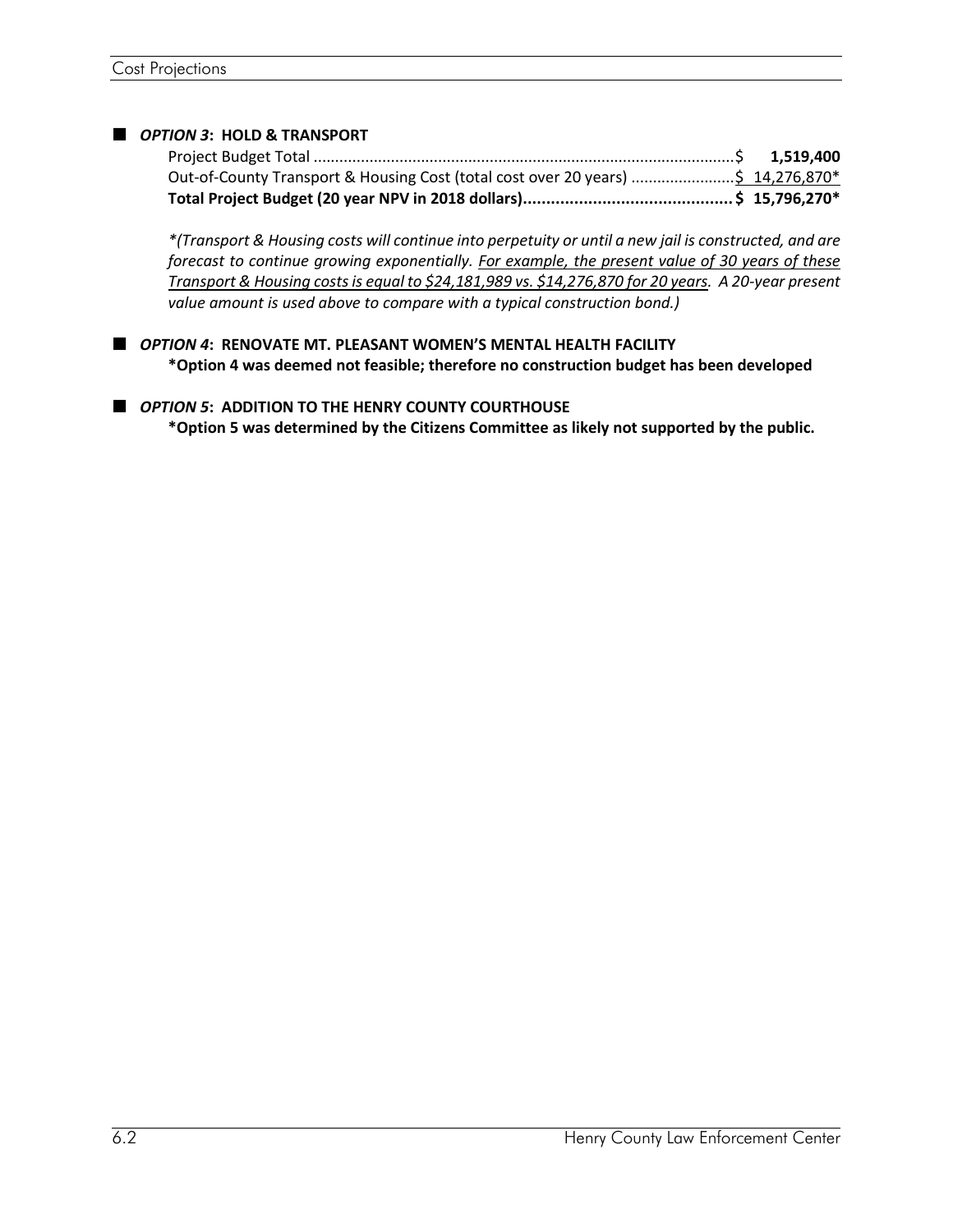## *OPTION 3***: HOLD & TRANSPORT**

| Out-of-County Transport & Housing Cost (total cost over 20 years) \$ 14,276,870* |  |
|----------------------------------------------------------------------------------|--|
|                                                                                  |  |

*\*(Transport & Housing costs will continue into perpetuity or until a new jail is constructed, and are forecast to continue growing exponentially. For example, the present value of 30 years of these Transport & Housing costs is equal to \$24,181,989 vs. \$14,276,870 for 20 years. A 20-year present value amount is used above to compare with a typical construction bond.)*

 *OPTION 4***: RENOVATE MT. PLEASANT WOMEN'S MENTAL HEALTH FACILITY \*Option 4 was deemed not feasible; therefore no construction budget has been developed**

 *OPTION 5***: ADDITION TO THE HENRY COUNTY COURTHOUSE \*Option 5 was determined by the Citizens Committee as likely not supported by the public.**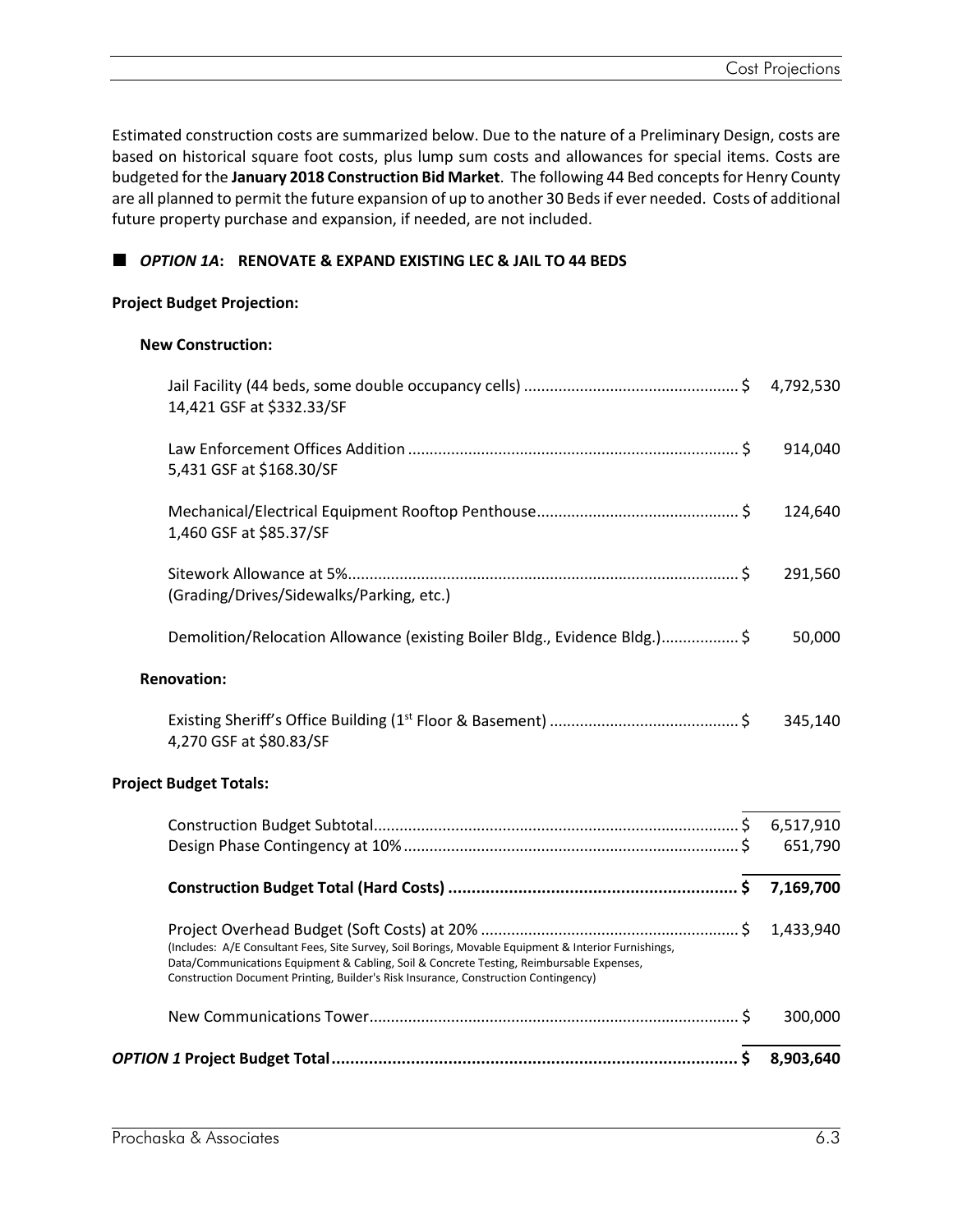Estimated construction costs are summarized below. Due to the nature of a Preliminary Design, costs are based on historical square foot costs, plus lump sum costs and allowances for special items. Costs are budgeted for the **January 2018 Construction Bid Market**. The following 44 Bed conceptsfor Henry County are all planned to permit the future expansion of up to another 30 Beds if ever needed. Costs of additional future property purchase and expansion, if needed, are not included.

# *OPTION 1A***: RENOVATE & EXPAND EXISTING LEC & JAIL TO 44 BEDS**

### **Project Budget Projection:**

### **New Construction:**

|                                                                                                                                                                                                                                                                                         | 300,000   |
|-----------------------------------------------------------------------------------------------------------------------------------------------------------------------------------------------------------------------------------------------------------------------------------------|-----------|
| (Includes: A/E Consultant Fees, Site Survey, Soil Borings, Movable Equipment & Interior Furnishings,<br>Data/Communications Equipment & Cabling, Soil & Concrete Testing, Reimbursable Expenses,<br>Construction Document Printing, Builder's Risk Insurance, Construction Contingency) | 1,433,940 |
|                                                                                                                                                                                                                                                                                         |           |
|                                                                                                                                                                                                                                                                                         | 651,790   |
| <b>Project Budget Totals:</b>                                                                                                                                                                                                                                                           |           |
| 4,270 GSF at \$80.83/SF                                                                                                                                                                                                                                                                 | 345,140   |
| <b>Renovation:</b>                                                                                                                                                                                                                                                                      |           |
| Demolition/Relocation Allowance (existing Boiler Bldg., Evidence Bldg.) \$                                                                                                                                                                                                              | 50,000    |
| (Grading/Drives/Sidewalks/Parking, etc.)                                                                                                                                                                                                                                                | 291,560   |
| 1,460 GSF at \$85.37/SF                                                                                                                                                                                                                                                                 | 124,640   |
| 5,431 GSF at \$168.30/SF                                                                                                                                                                                                                                                                | 914,040   |
| 14,421 GSF at \$332.33/SF                                                                                                                                                                                                                                                               |           |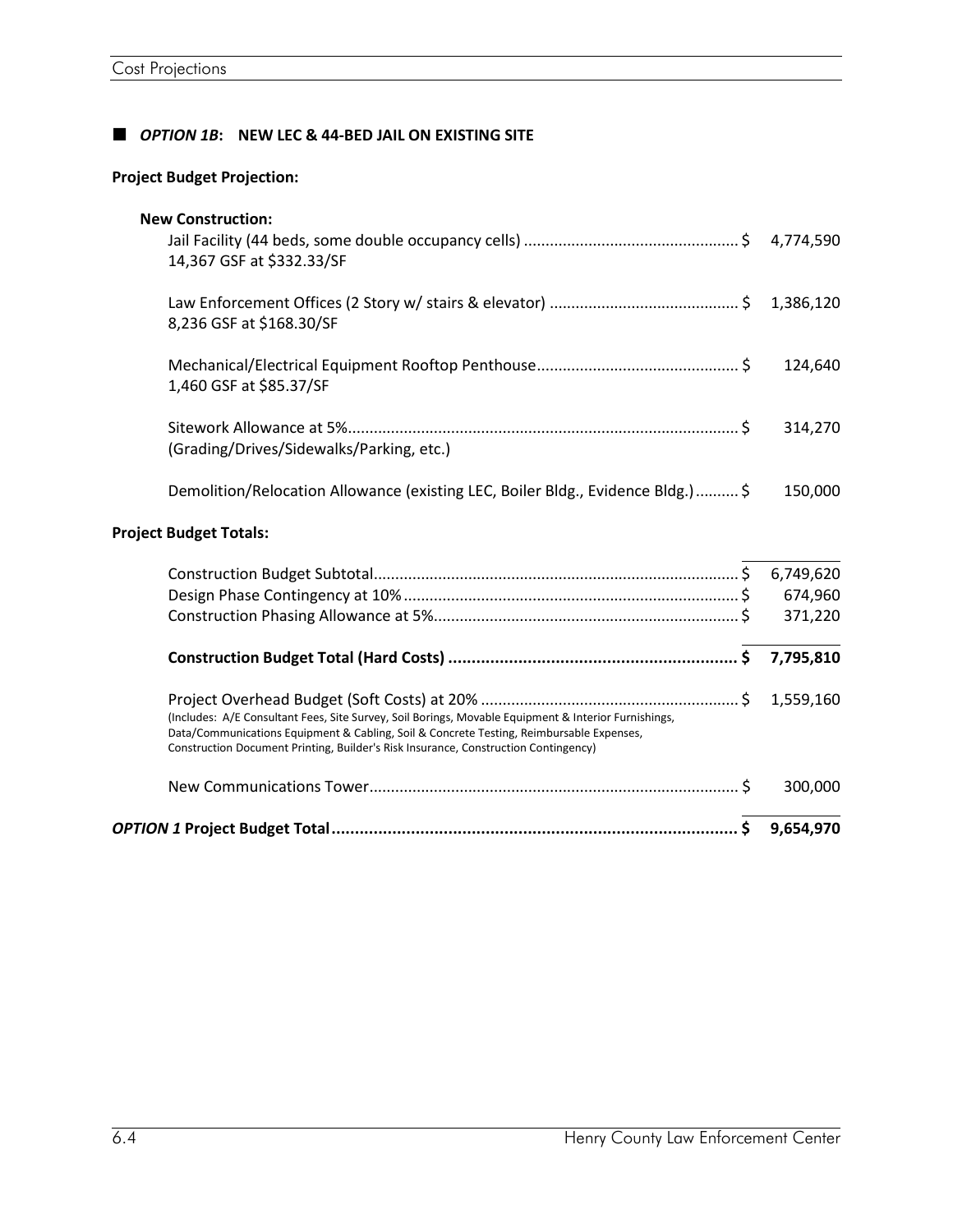# *OPTION 1B***: NEW LEC & 44-BED JAIL ON EXISTING SITE**

# **Project Budget Projection:**

|                                                                                                                                                                                                                                                                                         | 300,000   |
|-----------------------------------------------------------------------------------------------------------------------------------------------------------------------------------------------------------------------------------------------------------------------------------------|-----------|
| (Includes: A/E Consultant Fees, Site Survey, Soil Borings, Movable Equipment & Interior Furnishings,<br>Data/Communications Equipment & Cabling, Soil & Concrete Testing, Reimbursable Expenses,<br>Construction Document Printing, Builder's Risk Insurance, Construction Contingency) | 1,559,160 |
|                                                                                                                                                                                                                                                                                         |           |
|                                                                                                                                                                                                                                                                                         | 371,220   |
|                                                                                                                                                                                                                                                                                         | 674,960   |
|                                                                                                                                                                                                                                                                                         |           |
| <b>Project Budget Totals:</b>                                                                                                                                                                                                                                                           |           |
| Demolition/Relocation Allowance (existing LEC, Boiler Bldg., Evidence Bldg.) \$                                                                                                                                                                                                         | 150,000   |
| (Grading/Drives/Sidewalks/Parking, etc.)                                                                                                                                                                                                                                                | 314,270   |
| 1,460 GSF at \$85.37/SF                                                                                                                                                                                                                                                                 | 124,640   |
| 8,236 GSF at \$168.30/SF                                                                                                                                                                                                                                                                |           |
| <b>New Construction:</b><br>14,367 GSF at \$332.33/SF                                                                                                                                                                                                                                   |           |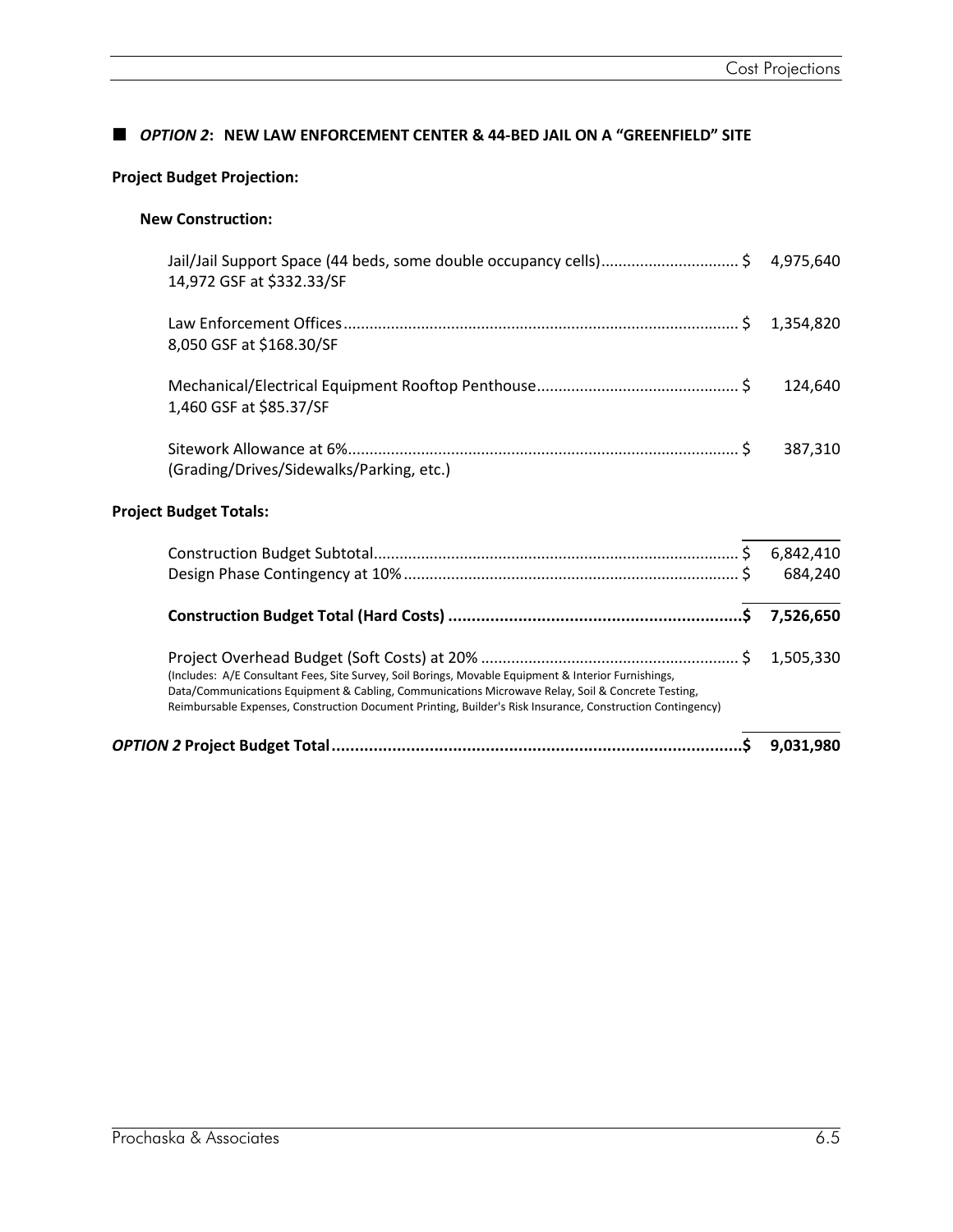## *OPTION 2***: NEW LAW ENFORCEMENT CENTER & 44-BED JAIL ON A "GREENFIELD" SITE**

# **Project Budget Projection:**

## **New Construction:**

| 14,972 GSF at \$332.33/SF                                                                                                                                                                                                                                                                                               |           |
|-------------------------------------------------------------------------------------------------------------------------------------------------------------------------------------------------------------------------------------------------------------------------------------------------------------------------|-----------|
| 8,050 GSF at \$168.30/SF                                                                                                                                                                                                                                                                                                |           |
| 1,460 GSF at \$85.37/SF                                                                                                                                                                                                                                                                                                 | 124,640   |
| (Grading/Drives/Sidewalks/Parking, etc.)                                                                                                                                                                                                                                                                                | 387,310   |
| <b>Project Budget Totals:</b>                                                                                                                                                                                                                                                                                           |           |
|                                                                                                                                                                                                                                                                                                                         |           |
|                                                                                                                                                                                                                                                                                                                         | 684,240   |
|                                                                                                                                                                                                                                                                                                                         | 7,526,650 |
| (Includes: A/E Consultant Fees, Site Survey, Soil Borings, Movable Equipment & Interior Furnishings,<br>Data/Communications Equipment & Cabling, Communications Microwave Relay, Soil & Concrete Testing,<br>Reimbursable Expenses, Construction Document Printing, Builder's Risk Insurance, Construction Contingency) |           |
|                                                                                                                                                                                                                                                                                                                         | 9.031.980 |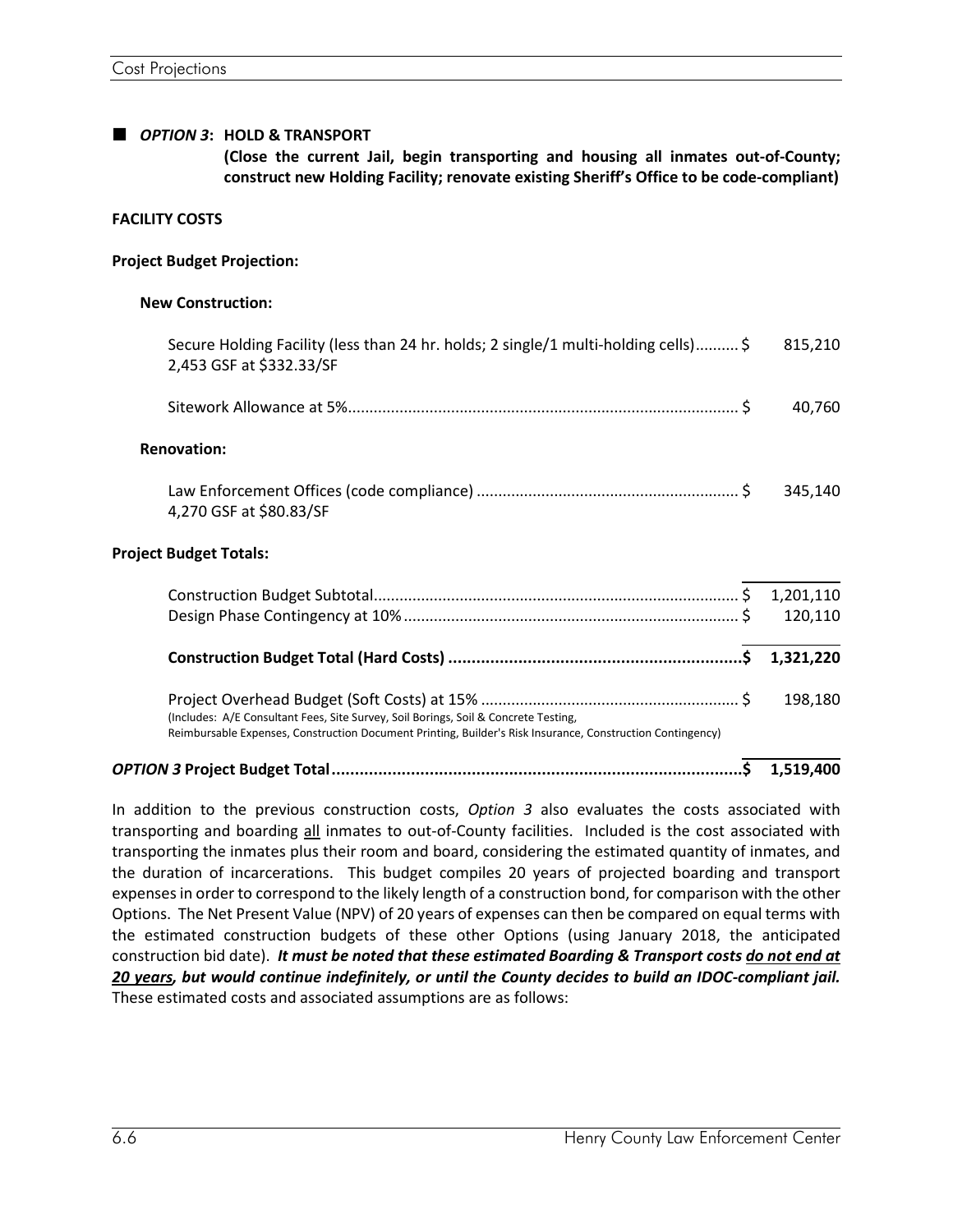### *OPTION 3***: HOLD & TRANSPORT**

**(Close the current Jail, begin transporting and housing all inmates out-of-County; construct new Holding Facility; renovate existing Sheriff's Office to be code-compliant)**

### **FACILITY COSTS**

#### **Project Budget Projection:**

#### **New Construction:**

| Secure Holding Facility (less than 24 hr. holds; 2 single/1 multi-holding cells)\$<br>2,453 GSF at \$332.33/SF                                                                                    | 815,210   |
|---------------------------------------------------------------------------------------------------------------------------------------------------------------------------------------------------|-----------|
|                                                                                                                                                                                                   | 40,760    |
| <b>Renovation:</b>                                                                                                                                                                                |           |
| 4,270 GSF at \$80.83/SF                                                                                                                                                                           | 345,140   |
| <b>Project Budget Totals:</b>                                                                                                                                                                     |           |
|                                                                                                                                                                                                   |           |
|                                                                                                                                                                                                   | 120,110   |
|                                                                                                                                                                                                   | 1,321,220 |
| (Includes: A/E Consultant Fees, Site Survey, Soil Borings, Soil & Concrete Testing,<br>Reimbursable Expenses, Construction Document Printing, Builder's Risk Insurance, Construction Contingency) | 198,180   |

# *OPTION 3* **Project Budget Total........................................................................................\$ 1,519,400**

In addition to the previous construction costs, *Option 3* also evaluates the costs associated with transporting and boarding all inmates to out-of-County facilities. Included is the cost associated with transporting the inmates plus their room and board, considering the estimated quantity of inmates, and the duration of incarcerations. This budget compiles 20 years of projected boarding and transport expenses in order to correspond to the likely length of a construction bond, for comparison with the other Options. The Net Present Value (NPV) of 20 years of expenses can then be compared on equal terms with the estimated construction budgets of these other Options (using January 2018, the anticipated construction bid date). *It must be noted that these estimated Boarding & Transport costs do not end at 20 years, but would continue indefinitely, or until the County decides to build an IDOC-compliant jail.* These estimated costs and associated assumptions are as follows: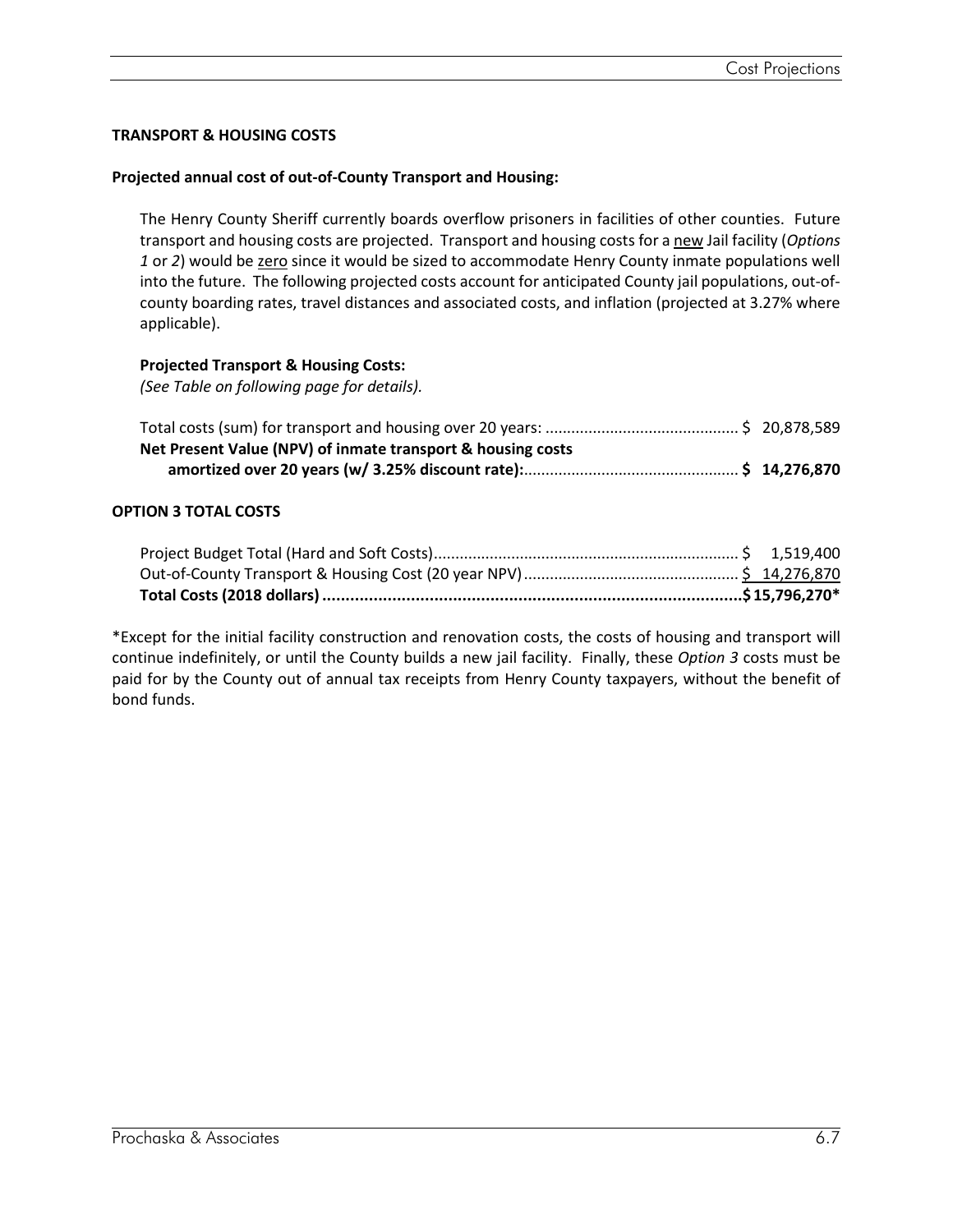# **TRANSPORT & HOUSING COSTS**

## **Projected annual cost of out-of-County Transport and Housing:**

The Henry County Sheriff currently boards overflow prisoners in facilities of other counties. Future transport and housing costs are projected. Transport and housing costs for a new Jail facility (*Options 1* or *2*) would be zero since it would be sized to accommodate Henry County inmate populations well into the future. The following projected costs account for anticipated County jail populations, out-ofcounty boarding rates, travel distances and associated costs, and inflation (projected at 3.27% where applicable).

## **Projected Transport & Housing Costs:**

*(See Table on following page for details).*

| Net Present Value (NPV) of inmate transport & housing costs |  |
|-------------------------------------------------------------|--|
|                                                             |  |

## **OPTION 3 TOTAL COSTS**

\*Except for the initial facility construction and renovation costs, the costs of housing and transport will continue indefinitely, or until the County builds a new jail facility. Finally, these *Option 3* costs must be paid for by the County out of annual tax receipts from Henry County taxpayers, without the benefit of bond funds.